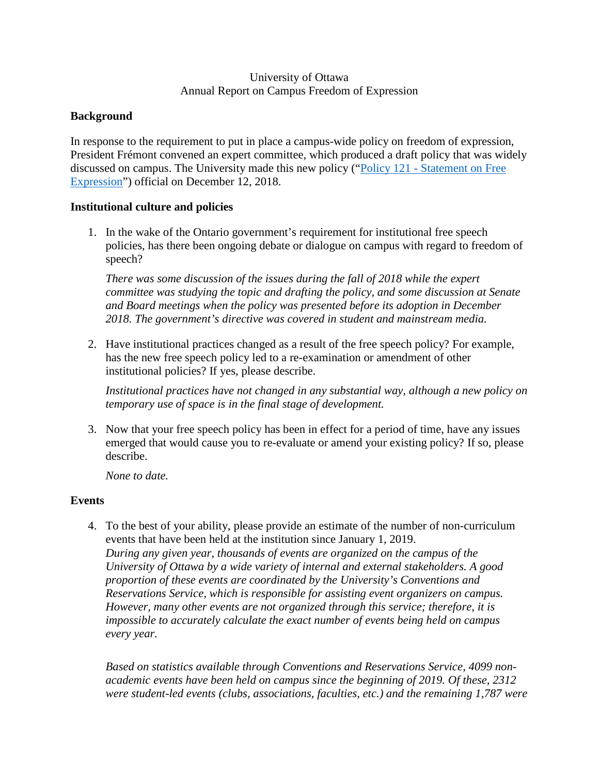#### University of Ottawa Annual Report on Campus Freedom of Expression

## **Background**

In response to the requirement to put in place a campus-wide policy on freedom of expression, President Frémont convened an expert committee, which produced a draft policy that was widely discussed on campus. The University made this new policy (["Policy 121 - Statement on Free](https://www.uottawa.ca/administration-and-governance/policy-121-statement-free-expression)  [Expression"](https://www.uottawa.ca/administration-and-governance/policy-121-statement-free-expression)) official on December 12, 2018.

### **Institutional culture and policies**

1. In the wake of the Ontario government's requirement for institutional free speech policies, has there been ongoing debate or dialogue on campus with regard to freedom of speech?

*There was some discussion of the issues during the fall of 2018 while the expert committee was studying the topic and drafting the policy, and some discussion at Senate and Board meetings when the policy was presented before its adoption in December 2018. The government's directive was covered in student and mainstream media.* 

2. Have institutional practices changed as a result of the free speech policy? For example, has the new free speech policy led to a re-examination or amendment of other institutional policies? If yes, please describe.

*Institutional practices have not changed in any substantial way, although a new policy on temporary use of space is in the final stage of development.* 

3. Now that your free speech policy has been in effect for a period of time, have any issues emerged that would cause you to re-evaluate or amend your existing policy? If so, please describe.

*None to date.* 

# **Events**

4. To the best of your ability, please provide an estimate of the number of non-curriculum events that have been held at the institution since January 1, 2019. *During any given year, thousands of events are organized on the campus of the University of Ottawa by a wide variety of internal and external stakeholders. A good proportion of these events are coordinated by the University's Conventions and Reservations Service, which is responsible for assisting event organizers on campus. However, many other events are not organized through this service; therefore, it is impossible to accurately calculate the exact number of events being held on campus every year.*

*Based on statistics available through Conventions and Reservations Service, 4099 nonacademic events have been held on campus since the beginning of 2019. Of these, 2312 were student-led events (clubs, associations, faculties, etc.) and the remaining 1,787 were*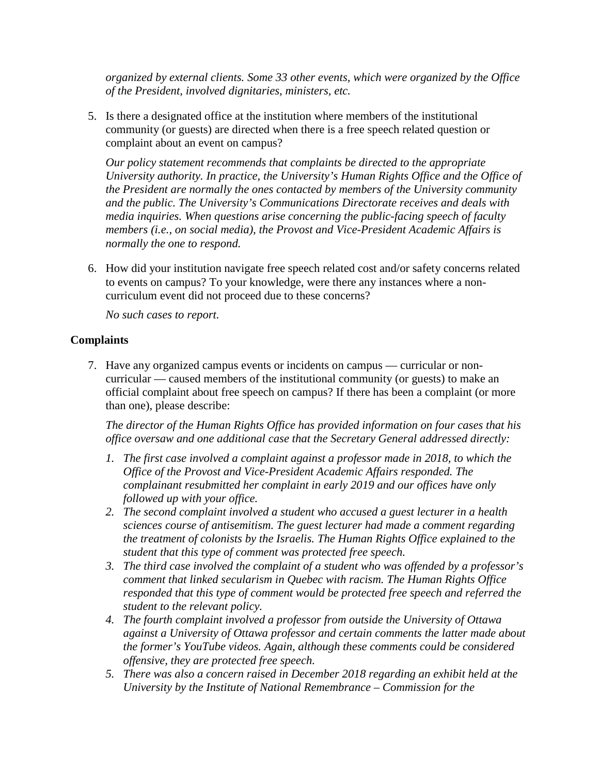*organized by external clients. Some 33 other events, which were organized by the Office of the President, involved dignitaries, ministers, etc.* 

5. Is there a designated office at the institution where members of the institutional community (or guests) are directed when there is a free speech related question or complaint about an event on campus?

*Our policy statement recommends that complaints be directed to the appropriate University authority. In practice, the University's Human Rights Office and the Office of the President are normally the ones contacted by members of the University community and the public. The University's Communications Directorate receives and deals with media inquiries. When questions arise concerning the public-facing speech of faculty members (i.e., on social media), the Provost and Vice-President Academic Affairs is normally the one to respond.* 

6. How did your institution navigate free speech related cost and/or safety concerns related to events on campus? To your knowledge, were there any instances where a noncurriculum event did not proceed due to these concerns?

*No such cases to report.* 

#### **Complaints**

7. Have any organized campus events or incidents on campus — curricular or noncurricular — caused members of the institutional community (or guests) to make an official complaint about free speech on campus? If there has been a complaint (or more than one), please describe:

*The director of the Human Rights Office has provided information on four cases that his office oversaw and one additional case that the Secretary General addressed directly:* 

- *1. The first case involved a complaint against a professor made in 2018, to which the Office of the Provost and Vice-President Academic Affairs responded. The complainant resubmitted her complaint in early 2019 and our offices have only followed up with your office.*
- *2. The second complaint involved a student who accused a guest lecturer in a health sciences course of antisemitism. The guest lecturer had made a comment regarding the treatment of colonists by the Israelis. The Human Rights Office explained to the student that this type of comment was protected free speech.*
- *3. The third case involved the complaint of a student who was offended by a professor's comment that linked secularism in Quebec with racism. The Human Rights Office responded that this type of comment would be protected free speech and referred the student to the relevant policy.*
- *4. The fourth complaint involved a professor from outside the University of Ottawa against a University of Ottawa professor and certain comments the latter made about the former's YouTube videos. Again, although these comments could be considered offensive, they are protected free speech.*
- *5. There was also a concern raised in December 2018 regarding an exhibit held at the University by the Institute of National Remembrance – Commission for the*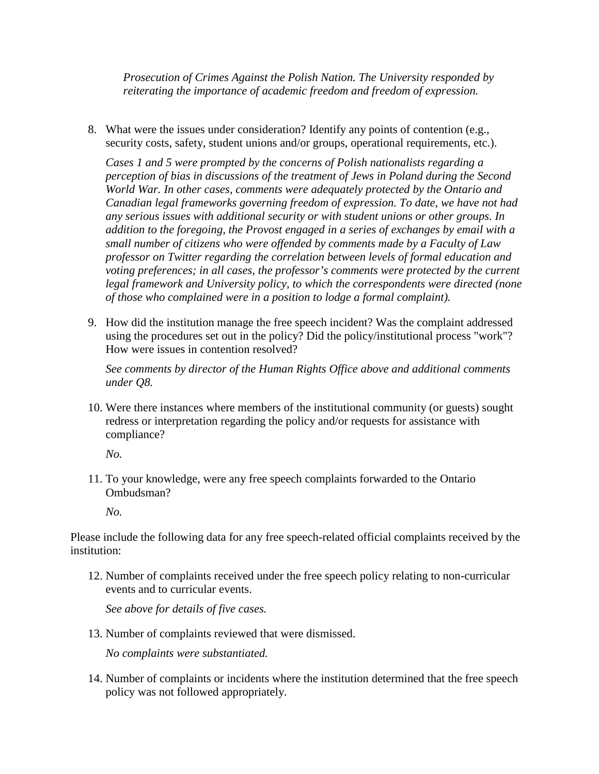*Prosecution of Crimes Against the Polish Nation. The University responded by reiterating the importance of academic freedom and freedom of expression.* 

8. What were the issues under consideration? Identify any points of contention (e.g., security costs, safety, student unions and/or groups, operational requirements, etc.).

*Cases 1 and 5 were prompted by the concerns of Polish nationalists regarding a perception of bias in discussions of the treatment of Jews in Poland during the Second World War. In other cases, comments were adequately protected by the Ontario and Canadian legal frameworks governing freedom of expression. To date, we have not had any serious issues with additional security or with student unions or other groups. In addition to the foregoing, the Provost engaged in a series of exchanges by email with a small number of citizens who were offended by comments made by a Faculty of Law professor on Twitter regarding the correlation between levels of formal education and voting preferences; in all cases, the professor's comments were protected by the current legal framework and University policy, to which the correspondents were directed (none of those who complained were in a position to lodge a formal complaint).* 

9. How did the institution manage the free speech incident? Was the complaint addressed using the procedures set out in the policy? Did the policy/institutional process "work"? How were issues in contention resolved?

*See comments by director of the Human Rights Office above and additional comments under Q8.* 

10. Were there instances where members of the institutional community (or guests) sought redress or interpretation regarding the policy and/or requests for assistance with compliance?

*No.* 

11. To your knowledge, were any free speech complaints forwarded to the Ontario Ombudsman?

*No.* 

Please include the following data for any free speech-related official complaints received by the institution:

12. Number of complaints received under the free speech policy relating to non-curricular events and to curricular events.

*See above for details of five cases.* 

13. Number of complaints reviewed that were dismissed.

*No complaints were substantiated.* 

14. Number of complaints or incidents where the institution determined that the free speech policy was not followed appropriately.